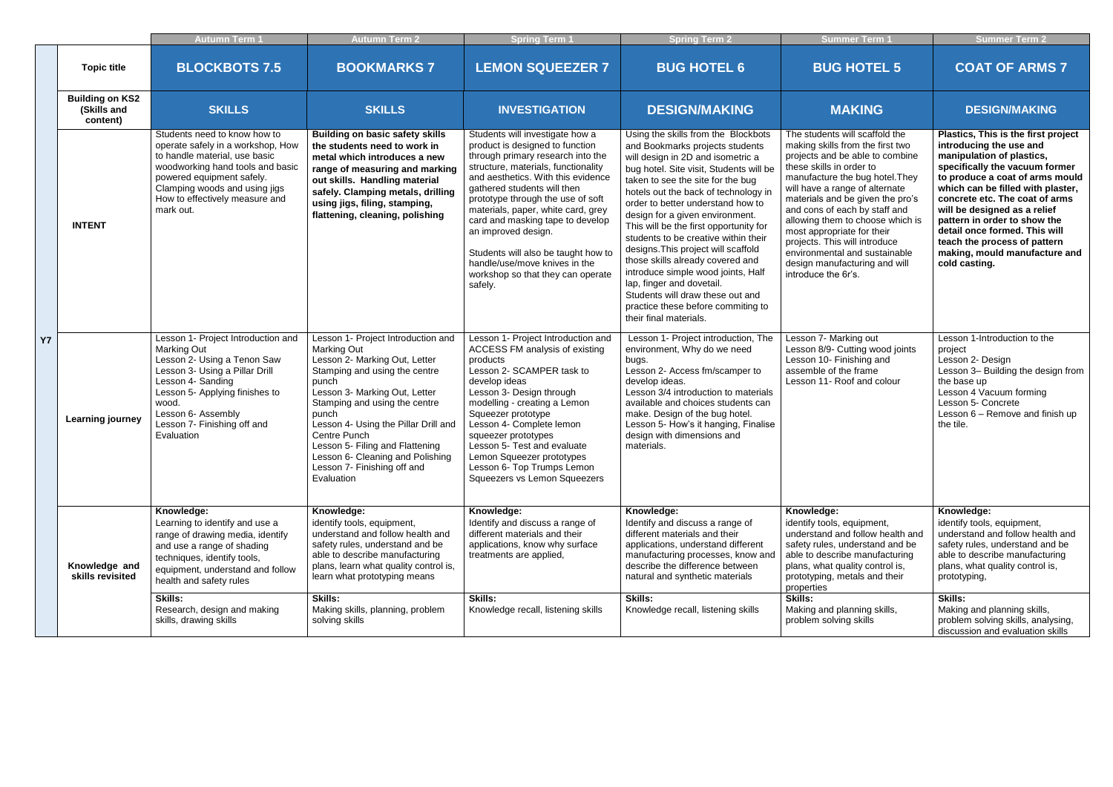|           |                                                   | <b>Autumn Term 1</b>                                                                                                                                                                                                                                         | <b>Autumn Term 2</b>                                                                                                                                                                                                                                                                                                                                                                       | <b>Spring Term 1</b>                                                                                                                                                                                                                                                                                                                                                                                                                                                              | <b>Spring Term 2</b>                                                                                                                                                                                                                                                                                                                                                                                                                                                                                                                                                                                                                            | <b>Summer Term 1</b>                                                                                                                                                                                                                                                                                                                                                                                                                                                    | <b>Summer Term 2</b>                                                                                                                                                                                                                                                                                                                                                                                                       |
|-----------|---------------------------------------------------|--------------------------------------------------------------------------------------------------------------------------------------------------------------------------------------------------------------------------------------------------------------|--------------------------------------------------------------------------------------------------------------------------------------------------------------------------------------------------------------------------------------------------------------------------------------------------------------------------------------------------------------------------------------------|-----------------------------------------------------------------------------------------------------------------------------------------------------------------------------------------------------------------------------------------------------------------------------------------------------------------------------------------------------------------------------------------------------------------------------------------------------------------------------------|-------------------------------------------------------------------------------------------------------------------------------------------------------------------------------------------------------------------------------------------------------------------------------------------------------------------------------------------------------------------------------------------------------------------------------------------------------------------------------------------------------------------------------------------------------------------------------------------------------------------------------------------------|-------------------------------------------------------------------------------------------------------------------------------------------------------------------------------------------------------------------------------------------------------------------------------------------------------------------------------------------------------------------------------------------------------------------------------------------------------------------------|----------------------------------------------------------------------------------------------------------------------------------------------------------------------------------------------------------------------------------------------------------------------------------------------------------------------------------------------------------------------------------------------------------------------------|
|           | <b>Topic title</b>                                | <b>BLOCKBOTS 7.5</b>                                                                                                                                                                                                                                         | <b>BOOKMARKS 7</b>                                                                                                                                                                                                                                                                                                                                                                         | <b>LEMON SQUEEZER 7</b>                                                                                                                                                                                                                                                                                                                                                                                                                                                           | <b>BUG HOTEL 6</b>                                                                                                                                                                                                                                                                                                                                                                                                                                                                                                                                                                                                                              | <b>BUG HOTEL 5</b>                                                                                                                                                                                                                                                                                                                                                                                                                                                      | <b>COAT OF ARMS 7</b>                                                                                                                                                                                                                                                                                                                                                                                                      |
|           | <b>Building on KS2</b><br>(Skills and<br>content) | <b>SKILLS</b>                                                                                                                                                                                                                                                | <b>SKILLS</b>                                                                                                                                                                                                                                                                                                                                                                              | <b>INVESTIGATION</b>                                                                                                                                                                                                                                                                                                                                                                                                                                                              | <b>DESIGN/MAKING</b>                                                                                                                                                                                                                                                                                                                                                                                                                                                                                                                                                                                                                            | <b>MAKING</b>                                                                                                                                                                                                                                                                                                                                                                                                                                                           | <b>DESIGN/MAKING</b>                                                                                                                                                                                                                                                                                                                                                                                                       |
|           | <b>INTENT</b>                                     | Students need to know how to<br>operate safely in a workshop, How<br>to handle material, use basic<br>woodworking hand tools and basic<br>powered equipment safely.<br>Clamping woods and using jigs<br>How to effectively measure and<br>mark out.          | <b>Building on basic safety skills</b><br>the students need to work in<br>metal which introduces a new<br>range of measuring and marking<br>out skills. Handling material<br>safely. Clamping metals, drilling<br>using jigs, filing, stamping,<br>flattening, cleaning, polishing                                                                                                         | Students will investigate how a<br>product is designed to function<br>through primary research into the<br>structure, materials, functionality<br>and aesthetics. With this evidence<br>gathered students will then<br>prototype through the use of soft<br>materials, paper, white card, grey<br>card and masking tape to develop<br>an improved design.<br>Students will also be taught how to<br>handle/use/move knives in the<br>workshop so that they can operate<br>safely. | Using the skills from the Blockbots<br>and Bookmarks projects students<br>will design in 2D and isometric a<br>bug hotel. Site visit, Students will be<br>taken to see the site for the bug<br>hotels out the back of technology in<br>order to better understand how to<br>design for a given environment.<br>This will be the first opportunity for<br>students to be creative within their<br>designs. This project will scaffold<br>those skills already covered and<br>introduce simple wood joints, Half<br>lap, finger and dovetail.<br>Students will draw these out and<br>practice these before commiting to<br>their final materials. | The students will scaffold the<br>making skills from the first two<br>projects and be able to combine<br>these skills in order to<br>manufacture the bug hotel. They<br>will have a range of alternate<br>materials and be given the pro's<br>and cons of each by staff and<br>allowing them to choose which is<br>most appropriate for their<br>projects. This will introduce<br>environmental and sustainable<br>design manufacturing and will<br>introduce the 6r's. | Plastics, This is the first project<br>introducing the use and<br>manipulation of plastics,<br>specifically the vacuum former<br>to produce a coat of arms mould<br>which can be filled with plaster,<br>concrete etc. The coat of arms<br>will be designed as a relief<br>pattern in order to show the<br>detail once formed. This will<br>teach the process of pattern<br>making, mould manufacture and<br>cold casting. |
| <b>Y7</b> | <b>Learning journey</b>                           | Lesson 1- Project Introduction and<br><b>Marking Out</b><br>Lesson 2- Using a Tenon Saw<br>Lesson 3- Using a Pillar Drill<br>Lesson 4- Sanding<br>Lesson 5- Applying finishes to<br>wood.<br>Lesson 6- Assembly<br>Lesson 7- Finishing off and<br>Evaluation | Lesson 1- Project Introduction and<br><b>Marking Out</b><br>Lesson 2- Marking Out, Letter<br>Stamping and using the centre<br>punch<br>Lesson 3- Marking Out, Letter<br>Stamping and using the centre<br>punch<br>Lesson 4- Using the Pillar Drill and<br>Centre Punch<br>Lesson 5- Filing and Flattening<br>Lesson 6- Cleaning and Polishing<br>Lesson 7- Finishing off and<br>Evaluation | Lesson 1- Project Introduction and<br>ACCESS FM analysis of existing<br>products<br>Lesson 2- SCAMPER task to<br>develop ideas<br>Lesson 3- Design through<br>modelling - creating a Lemon<br>Squeezer prototype<br>Lesson 4- Complete lemon<br>squeezer prototypes<br>Lesson 5- Test and evaluate<br>Lemon Squeezer prototypes<br>Lesson 6- Top Trumps Lemon<br>Squeezers vs Lemon Squeezers                                                                                     | Lesson 1- Project introduction, The<br>environment, Why do we need<br>bugs.<br>Lesson 2- Access fm/scamper to<br>develop ideas.<br>Lesson 3/4 introduction to materials<br>available and choices students can<br>make. Design of the bug hotel.<br>Lesson 5- How's it hanging, Finalise<br>design with dimensions and<br>materials.                                                                                                                                                                                                                                                                                                             | Lesson 7- Marking out<br>Lesson 8/9- Cutting wood joints<br>Lesson 10- Finishing and<br>assemble of the frame<br>Lesson 11- Roof and colour                                                                                                                                                                                                                                                                                                                             | Lesson 1-Introduction to the<br>project<br>Lesson 2- Design<br>Lesson 3- Building the design from<br>the base up<br>Lesson 4 Vacuum forming<br>Lesson 5- Concrete<br>Lesson 6 - Remove and finish up<br>the tile.                                                                                                                                                                                                          |
|           | Knowledge and<br>skills revisited                 | Knowledge:<br>Learning to identify and use a<br>range of drawing media, identify<br>and use a range of shading<br>techniques, identify tools,<br>equipment, understand and follow<br>health and safety rules                                                 | Knowledge:<br>identify tools, equipment,<br>understand and follow health and<br>safety rules, understand and be<br>able to describe manufacturing<br>plans, learn what quality control is,<br>learn what prototyping means                                                                                                                                                                 | Knowledge:<br>Identify and discuss a range of<br>different materials and their<br>applications, know why surface<br>treatments are applied,                                                                                                                                                                                                                                                                                                                                       | Knowledge:<br>Identify and discuss a range of<br>different materials and their<br>applications, understand different<br>manufacturing processes, know and<br>describe the difference between<br>natural and synthetic materials                                                                                                                                                                                                                                                                                                                                                                                                                 | Knowledge:<br>identify tools, equipment,<br>understand and follow health and<br>safety rules, understand and be<br>able to describe manufacturing<br>plans, what quality control is,<br>prototyping, metals and their<br>properties                                                                                                                                                                                                                                     | Knowledge:<br>identify tools, equipment,<br>understand and follow health and<br>safety rules, understand and be<br>able to describe manufacturing<br>plans, what quality control is,<br>prototyping,                                                                                                                                                                                                                       |
|           |                                                   | <b>Skills:</b><br>Research, design and making<br>skills, drawing skills                                                                                                                                                                                      | <b>Skills:</b><br>Making skills, planning, problem<br>solving skills                                                                                                                                                                                                                                                                                                                       | Skills:<br>Knowledge recall, listening skills                                                                                                                                                                                                                                                                                                                                                                                                                                     | <b>Skills:</b><br>Knowledge recall, listening skills                                                                                                                                                                                                                                                                                                                                                                                                                                                                                                                                                                                            | <b>Skills:</b><br>Making and planning skills,<br>problem solving skills                                                                                                                                                                                                                                                                                                                                                                                                 | <b>Skills:</b><br>Making and planning skills,<br>problem solving skills, analysing,<br>discussion and evaluation skills                                                                                                                                                                                                                                                                                                    |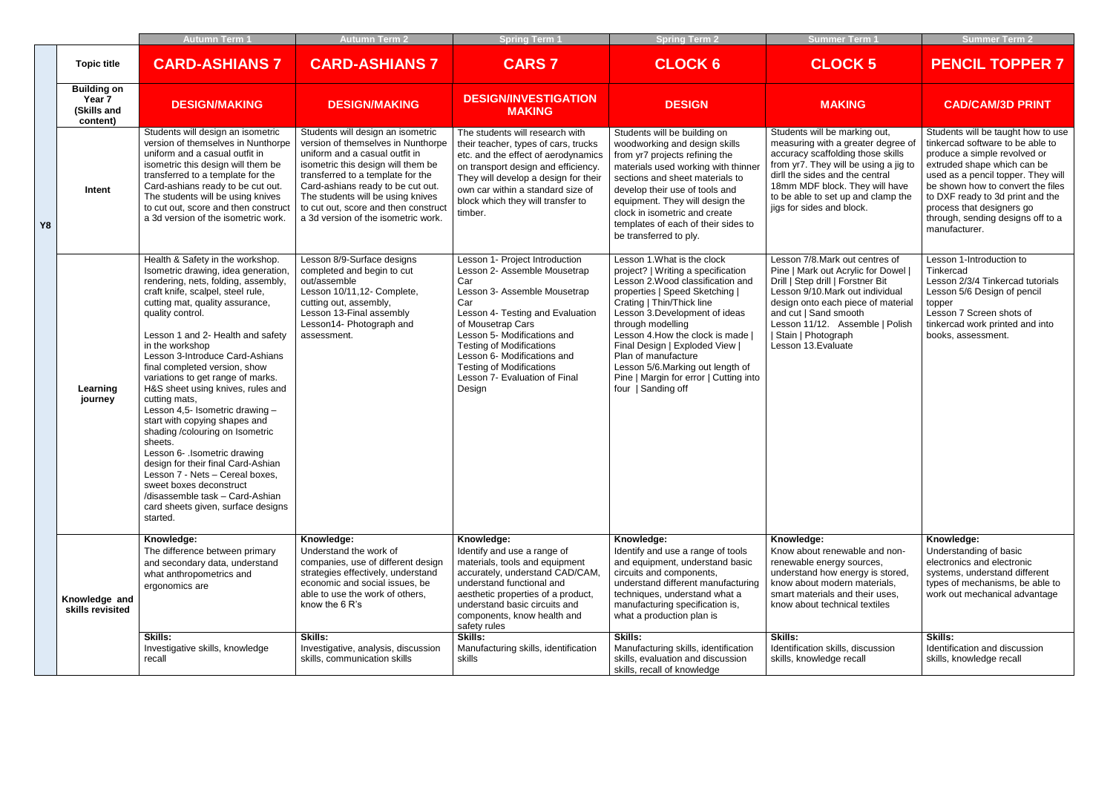|    |                                                         | <b>Autumn Term 1</b>                                                                                                                                                                                                                                                                                                                                                                                                                                                                                                                                                                                                                                                                                                                                                         | <b>Autumn Term 2</b>                                                                                                                                                                                                                                                                                                                          | <b>Spring Term 1</b>                                                                                                                                                                                                                                                                                                                                 | <b>Spring Term 2</b>                                                                                                                                                                                                                                                                                                                                                                                                           | <b>Summer Term 1</b>                                                                                                                                                                                                                                                                           | <b>Summer Term 2</b>                                                                                                                                                                                                                                                                                                                    |
|----|---------------------------------------------------------|------------------------------------------------------------------------------------------------------------------------------------------------------------------------------------------------------------------------------------------------------------------------------------------------------------------------------------------------------------------------------------------------------------------------------------------------------------------------------------------------------------------------------------------------------------------------------------------------------------------------------------------------------------------------------------------------------------------------------------------------------------------------------|-----------------------------------------------------------------------------------------------------------------------------------------------------------------------------------------------------------------------------------------------------------------------------------------------------------------------------------------------|------------------------------------------------------------------------------------------------------------------------------------------------------------------------------------------------------------------------------------------------------------------------------------------------------------------------------------------------------|--------------------------------------------------------------------------------------------------------------------------------------------------------------------------------------------------------------------------------------------------------------------------------------------------------------------------------------------------------------------------------------------------------------------------------|------------------------------------------------------------------------------------------------------------------------------------------------------------------------------------------------------------------------------------------------------------------------------------------------|-----------------------------------------------------------------------------------------------------------------------------------------------------------------------------------------------------------------------------------------------------------------------------------------------------------------------------------------|
|    | <b>Topic title</b>                                      | <b>CARD-ASHIANS 7</b>                                                                                                                                                                                                                                                                                                                                                                                                                                                                                                                                                                                                                                                                                                                                                        | <b>CARD-ASHIANS 7</b>                                                                                                                                                                                                                                                                                                                         | <b>CARS 7</b>                                                                                                                                                                                                                                                                                                                                        | <b>CLOCK 6</b>                                                                                                                                                                                                                                                                                                                                                                                                                 | <b>CLOCK 5</b>                                                                                                                                                                                                                                                                                 | <b>PENCIL TOPPER 7</b>                                                                                                                                                                                                                                                                                                                  |
|    | <b>Building on</b><br>Year 7<br>(Skills and<br>content) | <b>DESIGN/MAKING</b>                                                                                                                                                                                                                                                                                                                                                                                                                                                                                                                                                                                                                                                                                                                                                         | <b>DESIGN/MAKING</b>                                                                                                                                                                                                                                                                                                                          | <b>DESIGN/INVESTIGATION</b><br><b>MAKING</b>                                                                                                                                                                                                                                                                                                         | <b>DESIGN</b>                                                                                                                                                                                                                                                                                                                                                                                                                  | <b>MAKING</b>                                                                                                                                                                                                                                                                                  | <b>CAD/CAM/3D PRINT</b>                                                                                                                                                                                                                                                                                                                 |
| Y8 | Intent                                                  | Students will design an isometric<br>version of themselves in Nunthorpe<br>uniform and a casual outfit in<br>isometric this design will them be<br>transferred to a template for the<br>Card-ashians ready to be cut out.<br>The students will be using knives<br>to cut out, score and then construct<br>a 3d version of the isometric work.                                                                                                                                                                                                                                                                                                                                                                                                                                | Students will design an isometric<br>version of themselves in Nunthorpe<br>uniform and a casual outfit in<br>isometric this design will them be<br>transferred to a template for the<br>Card-ashians ready to be cut out.<br>The students will be using knives<br>to cut out, score and then construct<br>a 3d version of the isometric work. | The students will research with<br>their teacher, types of cars, trucks<br>etc. and the effect of aerodynamics<br>on transport design and efficiency.<br>They will develop a design for their<br>own car within a standard size of<br>block which they will transfer to<br>timber.                                                                   | Students will be building on<br>woodworking and design skills<br>from yr7 projects refining the<br>materials used working with thinner<br>sections and sheet materials to<br>develop their use of tools and<br>equipment. They will design the<br>clock in isometric and create<br>templates of each of their sides to<br>be transferred to ply.                                                                               | Students will be marking out,<br>measuring with a greater degree of<br>accuracy scaffolding those skills<br>from yr7. They will be using a jig to<br>dirll the sides and the central<br>18mm MDF block. They will have<br>to be able to set up and clamp the<br>jigs for sides and block.      | Students will be taught how to use<br>tinkercad software to be able to<br>produce a simple revolved or<br>extruded shape which can be<br>used as a pencil topper. They will<br>be shown how to convert the files<br>to DXF ready to 3d print and the<br>process that designers go<br>through, sending designs off to a<br>manufacturer. |
|    | Learning<br>journey                                     | Health & Safety in the workshop.<br>Isometric drawing, idea generation,<br>rendering, nets, folding, assembly,<br>craft knife, scalpel, steel rule,<br>cutting mat, quality assurance,<br>quality control.<br>Lesson 1 and 2- Health and safety<br>in the workshop<br>Lesson 3-Introduce Card-Ashians<br>final completed version, show<br>variations to get range of marks.<br>H&S sheet using knives, rules and<br>cutting mats,<br>Lesson 4,5- Isometric drawing -<br>start with copying shapes and<br>shading /colouring on Isometric<br>sheets.<br>Lesson 6- .Isometric drawing<br>design for their final Card-Ashian<br>Lesson 7 - Nets - Cereal boxes,<br>sweet boxes deconstruct<br>/disassemble task - Card-Ashian<br>card sheets given, surface designs<br>started. | Lesson 8/9-Surface designs<br>completed and begin to cut<br>out/assemble<br>Lesson 10/11,12- Complete,<br>cutting out, assembly,<br>Lesson 13-Final assembly<br>Lesson14- Photograph and<br>assessment.                                                                                                                                       | Lesson 1- Project Introduction<br>Lesson 2- Assemble Mousetrap<br>Car<br>Lesson 3- Assemble Mousetrap<br>Car<br>Lesson 4- Testing and Evaluation<br>of Mousetrap Cars<br>Lesson 5- Modifications and<br><b>Testing of Modifications</b><br>Lesson 6- Modifications and<br><b>Testing of Modifications</b><br>Lesson 7- Evaluation of Final<br>Design | Lesson 1. What is the clock<br>project?   Writing a specification<br>Lesson 2. Wood classification and<br>properties   Speed Sketching  <br>Crating   Thin/Thick line<br>Lesson 3.Development of ideas<br>through modelling<br>Lesson 4. How the clock is made  <br>Final Design   Exploded View  <br>Plan of manufacture<br>Lesson 5/6. Marking out length of<br>Pine   Margin for error   Cutting into<br>four   Sanding off | Lesson 7/8. Mark out centres of<br>Pine   Mark out Acrylic for Dowel  <br>Drill   Step drill   Forstner Bit<br>Lesson 9/10. Mark out individual<br>design onto each piece of material<br>and cut   Sand smooth<br>Lesson 11/12. Assemble   Polish<br>Stain   Photograph<br>Lesson 13. Evaluate | Lesson 1-Introduction to<br>Tinkercad<br>Lesson 2/3/4 Tinkercad tutorials<br>Lesson 5/6 Design of pencil<br>topper<br>Lesson 7 Screen shots of<br>tinkercad work printed and into<br>books, assessment.                                                                                                                                 |
|    | Knowledge and<br>skills revisited                       | Knowledge:<br>The difference between primary<br>and secondary data, understand<br>what anthropometrics and<br>ergonomics are                                                                                                                                                                                                                                                                                                                                                                                                                                                                                                                                                                                                                                                 | Knowledge:<br>Understand the work of<br>companies, use of different design<br>strategies effectively, understand<br>economic and social issues, be<br>able to use the work of others,<br>know the 6 R's                                                                                                                                       | Knowledge:<br>Identify and use a range of<br>materials, tools and equipment<br>accurately, understand CAD/CAM,<br>understand functional and<br>aesthetic properties of a product,<br>understand basic circuits and<br>components, know health and<br>safety rules                                                                                    | Knowledge:<br>Identify and use a range of tools<br>and equipment, understand basic<br>circuits and components,<br>understand different manufacturing<br>techniques, understand what a<br>manufacturing specification is,<br>what a production plan is                                                                                                                                                                          | Knowledge:<br>Know about renewable and non-<br>renewable energy sources,<br>understand how energy is stored,<br>know about modern materials,<br>smart materials and their uses,<br>know about technical textiles                                                                               | Knowledge:<br>Understanding of basic<br>electronics and electronic<br>systems, understand different<br>types of mechanisms, be able to<br>work out mechanical advantage                                                                                                                                                                 |
|    |                                                         | <b>Skills:</b><br>Investigative skills, knowledge<br>recall                                                                                                                                                                                                                                                                                                                                                                                                                                                                                                                                                                                                                                                                                                                  | <b>Skills:</b><br>Investigative, analysis, discussion<br>skills, communication skills                                                                                                                                                                                                                                                         | <b>Skills:</b><br>Manufacturing skills, identification<br>skills                                                                                                                                                                                                                                                                                     | <b>Skills:</b><br>Manufacturing skills, identification<br>skills, evaluation and discussion<br>skills, recall of knowledge                                                                                                                                                                                                                                                                                                     | <b>Skills:</b><br>Identification skills, discussion<br>skills, knowledge recall                                                                                                                                                                                                                | <b>Skills:</b><br>Identification and discussion<br>skills, knowledge recall                                                                                                                                                                                                                                                             |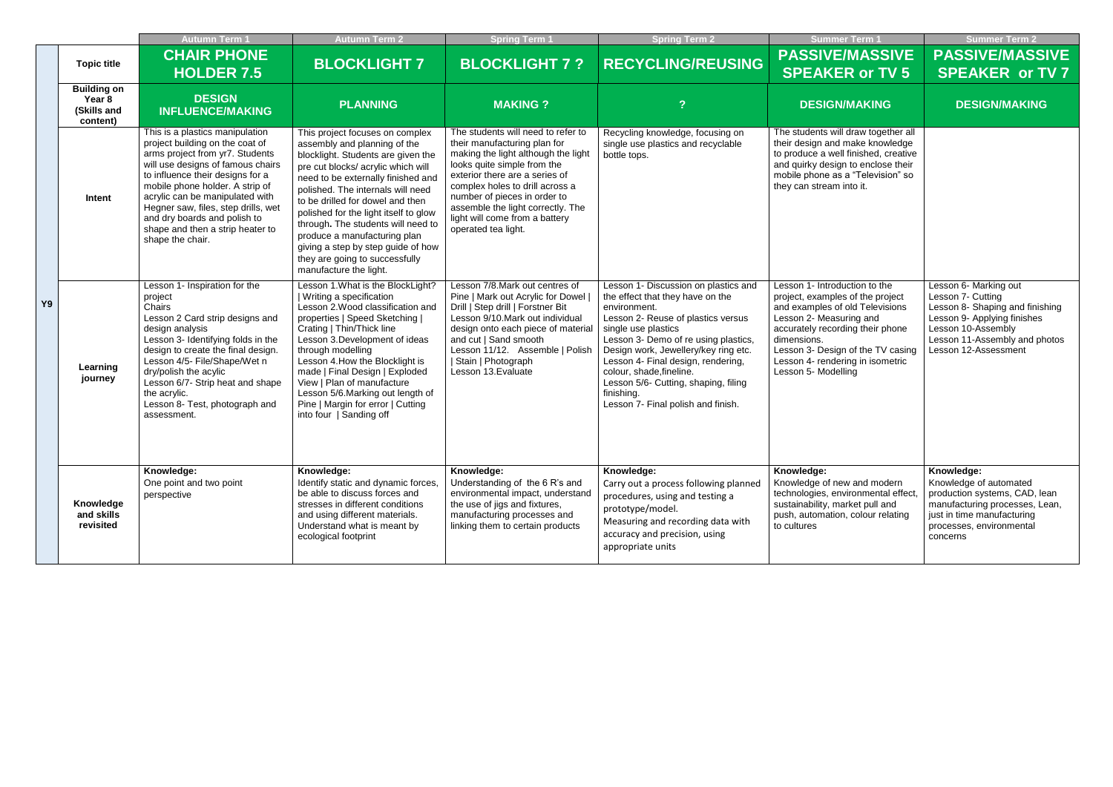|    |                                                         | <b>Autumn Term 1</b>                                                                                                                                                                                                                                                                                                                                                                | <b>Autumn Term 2</b>                                                                                                                                                                                                                                                                                                                                                                                                                                                        | Spring Term 1                                                                                                                                                                                                                                                                                                                               | <b>Spring Term 2</b>                                                                                                                                                                                                                                                                                                                                                                                | <b>Summer Term 1</b>                                                                                                                                                                                                                                                               | <b>Summer Term 2</b>                                                                                                                                                                 |
|----|---------------------------------------------------------|-------------------------------------------------------------------------------------------------------------------------------------------------------------------------------------------------------------------------------------------------------------------------------------------------------------------------------------------------------------------------------------|-----------------------------------------------------------------------------------------------------------------------------------------------------------------------------------------------------------------------------------------------------------------------------------------------------------------------------------------------------------------------------------------------------------------------------------------------------------------------------|---------------------------------------------------------------------------------------------------------------------------------------------------------------------------------------------------------------------------------------------------------------------------------------------------------------------------------------------|-----------------------------------------------------------------------------------------------------------------------------------------------------------------------------------------------------------------------------------------------------------------------------------------------------------------------------------------------------------------------------------------------------|------------------------------------------------------------------------------------------------------------------------------------------------------------------------------------------------------------------------------------------------------------------------------------|--------------------------------------------------------------------------------------------------------------------------------------------------------------------------------------|
|    | <b>Topic title</b>                                      | <b>CHAIR PHONE</b><br><b>HOLDER 7.5</b>                                                                                                                                                                                                                                                                                                                                             | <b>BLOCKLIGHT 7</b>                                                                                                                                                                                                                                                                                                                                                                                                                                                         | <b>BLOCKLIGHT 7 ?</b>                                                                                                                                                                                                                                                                                                                       | <b>RECYCLING/REUSING</b>                                                                                                                                                                                                                                                                                                                                                                            | <b>PASSIVE/MASSIVE</b><br><b>SPEAKER or TV 5</b>                                                                                                                                                                                                                                   | <b>PASSIVE/MASS</b><br><b>SPEAKER or T</b>                                                                                                                                           |
|    | <b>Building on</b><br>Year 8<br>(Skills and<br>content) | <b>DESIGN</b><br><b>INFLUENCE/MAKING</b>                                                                                                                                                                                                                                                                                                                                            | <b>PLANNING</b>                                                                                                                                                                                                                                                                                                                                                                                                                                                             | <b>MAKING?</b>                                                                                                                                                                                                                                                                                                                              | 2                                                                                                                                                                                                                                                                                                                                                                                                   | <b>DESIGN/MAKING</b>                                                                                                                                                                                                                                                               | <b>DESIGN/MAKING</b>                                                                                                                                                                 |
|    | Intent                                                  | This is a plastics manipulation<br>project building on the coat of<br>arms project from yr7. Students<br>will use designs of famous chairs<br>to influence their designs for a<br>mobile phone holder. A strip of<br>acrylic can be manipulated with<br>Hegner saw, files, step drills, wet<br>and dry boards and polish to<br>shape and then a strip heater to<br>shape the chair. | This project focuses on complex<br>assembly and planning of the<br>blocklight. Students are given the<br>pre cut blocks/ acrylic which will<br>need to be externally finished and<br>polished. The internals will need<br>to be drilled for dowel and then<br>polished for the light itself to glow<br>through. The students will need to<br>produce a manufacturing plan<br>giving a step by step guide of how<br>they are going to successfully<br>manufacture the light. | The students will need to refer to<br>their manufacturing plan for<br>making the light although the light<br>looks quite simple from the<br>exterior there are a series of<br>complex holes to drill across a<br>number of pieces in order to<br>assemble the light correctly. The<br>light will come from a battery<br>operated tea light. | Recycling knowledge, focusing on<br>single use plastics and recyclable<br>bottle tops.                                                                                                                                                                                                                                                                                                              | The students will draw together all<br>their design and make knowledge<br>to produce a well finished, creative<br>and quirky design to enclose their<br>mobile phone as a "Television" so<br>they can stream into it.                                                              |                                                                                                                                                                                      |
| Y9 | Learning<br>journey                                     | Lesson 1- Inspiration for the<br>project<br>Chairs<br>Lesson 2 Card strip designs and<br>design analysis<br>Lesson 3- Identifying folds in the<br>design to create the final design.<br>Lesson 4/5- File/Shape/Wet n<br>dry/polish the acylic<br>Lesson 6/7- Strip heat and shape<br>the acrylic.<br>Lesson 8- Test, photograph and<br>assessment.                                  | Lesson 1. What is the BlockLight?<br>  Writing a specification<br>Lesson 2. Wood classification and<br>properties   Speed Sketching  <br>Crating   Thin/Thick line<br>Lesson 3. Development of ideas<br>through modelling<br>Lesson 4. How the Blocklight is<br>made   Final Design   Exploded<br>View   Plan of manufacture<br>Lesson 5/6. Marking out length of<br>Pine   Margin for error   Cutting<br>into four   Sanding off                                           | Lesson 7/8. Mark out centres of<br>Pine   Mark out Acrylic for Dowel  <br>Drill   Step drill   Forstner Bit<br>Lesson 9/10. Mark out individual<br>design onto each piece of material<br>and cut   Sand smooth<br>Lesson 11/12. Assemble   Polish<br>Stain   Photograph<br>Lesson 13. Evaluate                                              | Lesson 1- Discussion on plastics and<br>the effect that they have on the<br>environment.<br>Lesson 2- Reuse of plastics versus<br>single use plastics<br>Lesson 3- Demo of re using plastics,<br>Design work, Jewellery/key ring etc.<br>Lesson 4- Final design, rendering,<br>colour, shade, fineline.<br>Lesson 5/6- Cutting, shaping, filing<br>finishing.<br>Lesson 7- Final polish and finish. | Lesson 1- Introduction to the<br>project, examples of the project<br>and examples of old Televisions<br>Lesson 2- Measuring and<br>accurately recording their phone<br>dimensions.<br>Lesson 3- Design of the TV casing<br>Lesson 4- rendering in isometric<br>Lesson 5- Modelling | Lesson 6- Marking out<br>Lesson 7- Cutting<br>Lesson 8- Shaping and finisl<br>Lesson 9- Applying finishes<br>Lesson 10-Assembly<br>Lesson 11-Assembly and ph<br>Lesson 12-Assessment |
|    | Knowledge<br>and skills<br>revisited                    | Knowledge:<br>One point and two point<br>perspective                                                                                                                                                                                                                                                                                                                                | Knowledge:<br>Identify static and dynamic forces,<br>be able to discuss forces and<br>stresses in different conditions<br>and using different materials.<br>Understand what is meant by<br>ecological footprint                                                                                                                                                                                                                                                             | Knowledge:<br>Understanding of the 6 R's and<br>environmental impact, understand<br>the use of jigs and fixtures,<br>manufacturing processes and<br>linking them to certain products                                                                                                                                                        | Knowledge:<br>Carry out a process following planned<br>procedures, using and testing a<br>prototype/model.<br>Measuring and recording data with<br>accuracy and precision, using<br>appropriate units                                                                                                                                                                                               | Knowledge:<br>Knowledge of new and modern<br>technologies, environmental effect<br>sustainability, market pull and<br>push, automation, colour relating<br>to cultures                                                                                                             | Knowledge:<br>Knowledge of automated<br>production systems, CAD, le<br>manufacturing processes, Le<br>just in time manufacturing<br>processes, environmental<br>concerns             |

| <b>Summer Term 1</b>                                                                                                                                                                                                                                                               | <b>Summer Term 2</b>                                                                                                                                                                        |
|------------------------------------------------------------------------------------------------------------------------------------------------------------------------------------------------------------------------------------------------------------------------------------|---------------------------------------------------------------------------------------------------------------------------------------------------------------------------------------------|
| <b>PASSIVE/MASSIVE</b><br><b>SPEAKER or TV 5</b>                                                                                                                                                                                                                                   | <b>PASSIVE/MASSIVE</b><br><b>SPEAKER or TV 7</b>                                                                                                                                            |
| <b>DESIGN/MAKING</b>                                                                                                                                                                                                                                                               | <b>DESIGN/MAKING</b>                                                                                                                                                                        |
| The students will draw together all<br>their design and make knowledge<br>to produce a well finished, creative<br>and quirky design to enclose their<br>mobile phone as a "Television" so<br>they can stream into it.                                                              |                                                                                                                                                                                             |
| Lesson 1- Introduction to the<br>project, examples of the project<br>and examples of old Televisions<br>Lesson 2- Measuring and<br>accurately recording their phone<br>dimensions.<br>Lesson 3- Design of the TV casing<br>Lesson 4- rendering in isometric<br>Lesson 5- Modelling | Lesson 6- Marking out<br>Lesson 7- Cutting<br>Lesson 8- Shaping and finishing<br>Lesson 9- Applying finishes<br>Lesson 10-Assembly<br>Lesson 11-Assembly and photos<br>Lesson 12-Assessment |
| Knowledge:<br>Knowledge of new and modern<br>technologies, environmental effect,<br>sustainability, market pull and<br>push, automation, colour relating<br>to cultures                                                                                                            | Knowledge:<br>Knowledge of automated<br>production systems, CAD, lean<br>manufacturing processes, Lean,<br>just in time manufacturing<br>processes, environmental<br>concerns               |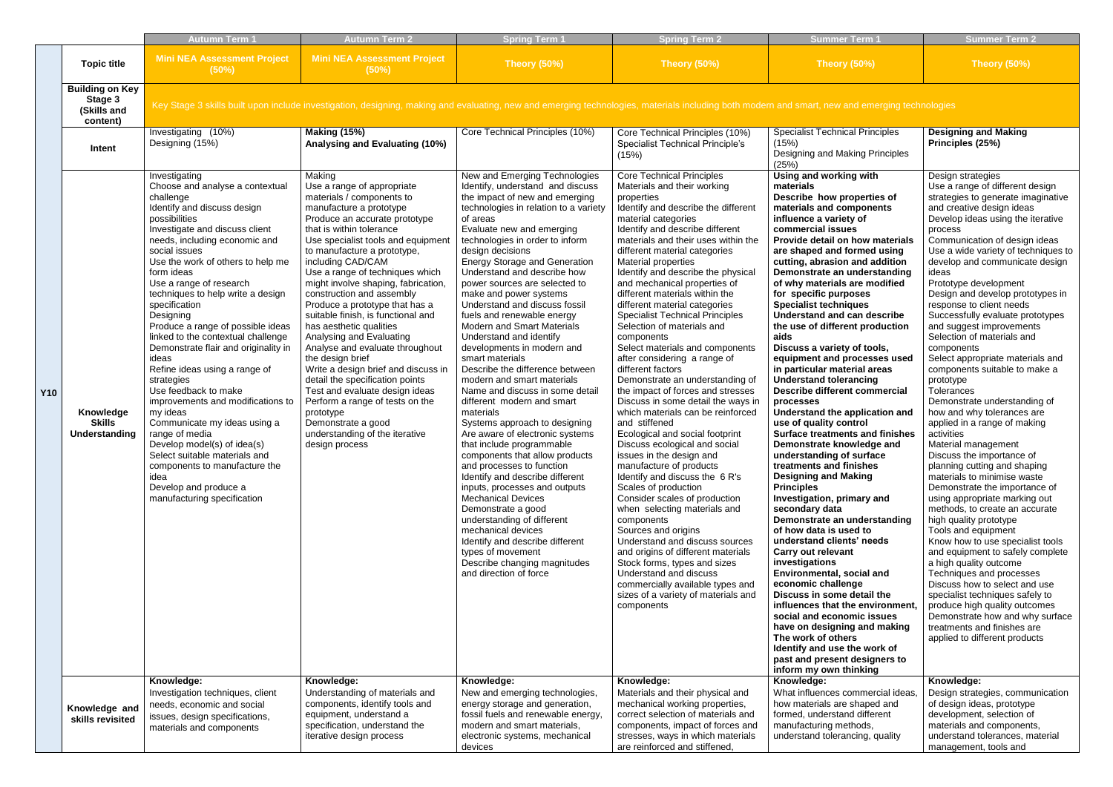|            |                                                              | <b>Autumn Term 1</b>                                                                                                                                                                                                                                                                                                                                                                                                                                                                                                                                                                                                                                                                                                                                                                                                      | <b>Autumn Term 2</b>                                                                                                                                                                                                                                                                                                                                                                                                                                                                                                                                                                                                                                                                                                                                                                   | <b>Spring Term 1</b>                                                                                                                                                                                                                                                                                                                                                                                                                                                                                                                                                                                                                                                                                                                                                                                                                                                                                                                                                                                                                                                                                                                                                | <b>Spring Term 2</b>                                                                                                                                                                                                                                                                                                                                                                                                                                                                                                                                                                                                                                                                                                                                                                                                                                                                                                                                                                                                                                                                                                                                                                                                                                                                           | <b>Summer Term 1</b>                                                                                                                                                                                                                                                                                                                                                                                                                                                                                                                                                                                                                                                                                                                                                                                                                                                                                                                                                                                                                                                                                                                                                                                                                                                                                                                                                                     | <b>Summer Term 2</b>                                                                                                                                                                                                                                                                                                                                                                                                                                                                                                                                                                                                                                                                                                                                                                                                                                                                                                                                                                                                                                                                                                                                                                                                                                                                                                      |  |  |
|------------|--------------------------------------------------------------|---------------------------------------------------------------------------------------------------------------------------------------------------------------------------------------------------------------------------------------------------------------------------------------------------------------------------------------------------------------------------------------------------------------------------------------------------------------------------------------------------------------------------------------------------------------------------------------------------------------------------------------------------------------------------------------------------------------------------------------------------------------------------------------------------------------------------|----------------------------------------------------------------------------------------------------------------------------------------------------------------------------------------------------------------------------------------------------------------------------------------------------------------------------------------------------------------------------------------------------------------------------------------------------------------------------------------------------------------------------------------------------------------------------------------------------------------------------------------------------------------------------------------------------------------------------------------------------------------------------------------|---------------------------------------------------------------------------------------------------------------------------------------------------------------------------------------------------------------------------------------------------------------------------------------------------------------------------------------------------------------------------------------------------------------------------------------------------------------------------------------------------------------------------------------------------------------------------------------------------------------------------------------------------------------------------------------------------------------------------------------------------------------------------------------------------------------------------------------------------------------------------------------------------------------------------------------------------------------------------------------------------------------------------------------------------------------------------------------------------------------------------------------------------------------------|------------------------------------------------------------------------------------------------------------------------------------------------------------------------------------------------------------------------------------------------------------------------------------------------------------------------------------------------------------------------------------------------------------------------------------------------------------------------------------------------------------------------------------------------------------------------------------------------------------------------------------------------------------------------------------------------------------------------------------------------------------------------------------------------------------------------------------------------------------------------------------------------------------------------------------------------------------------------------------------------------------------------------------------------------------------------------------------------------------------------------------------------------------------------------------------------------------------------------------------------------------------------------------------------|------------------------------------------------------------------------------------------------------------------------------------------------------------------------------------------------------------------------------------------------------------------------------------------------------------------------------------------------------------------------------------------------------------------------------------------------------------------------------------------------------------------------------------------------------------------------------------------------------------------------------------------------------------------------------------------------------------------------------------------------------------------------------------------------------------------------------------------------------------------------------------------------------------------------------------------------------------------------------------------------------------------------------------------------------------------------------------------------------------------------------------------------------------------------------------------------------------------------------------------------------------------------------------------------------------------------------------------------------------------------------------------|---------------------------------------------------------------------------------------------------------------------------------------------------------------------------------------------------------------------------------------------------------------------------------------------------------------------------------------------------------------------------------------------------------------------------------------------------------------------------------------------------------------------------------------------------------------------------------------------------------------------------------------------------------------------------------------------------------------------------------------------------------------------------------------------------------------------------------------------------------------------------------------------------------------------------------------------------------------------------------------------------------------------------------------------------------------------------------------------------------------------------------------------------------------------------------------------------------------------------------------------------------------------------------------------------------------------------|--|--|
|            | <b>Topic title</b>                                           | <b>Mini NEA Assessment Project</b><br>(50%)                                                                                                                                                                                                                                                                                                                                                                                                                                                                                                                                                                                                                                                                                                                                                                               | <b>Mini NEA Assessment Project</b><br>(50%)                                                                                                                                                                                                                                                                                                                                                                                                                                                                                                                                                                                                                                                                                                                                            | Theory (50%)                                                                                                                                                                                                                                                                                                                                                                                                                                                                                                                                                                                                                                                                                                                                                                                                                                                                                                                                                                                                                                                                                                                                                        | <b>Theory (50%)</b>                                                                                                                                                                                                                                                                                                                                                                                                                                                                                                                                                                                                                                                                                                                                                                                                                                                                                                                                                                                                                                                                                                                                                                                                                                                                            | <b>Theory (50%)</b>                                                                                                                                                                                                                                                                                                                                                                                                                                                                                                                                                                                                                                                                                                                                                                                                                                                                                                                                                                                                                                                                                                                                                                                                                                                                                                                                                                      | <b>Theory (50%)</b>                                                                                                                                                                                                                                                                                                                                                                                                                                                                                                                                                                                                                                                                                                                                                                                                                                                                                                                                                                                                                                                                                                                                                                                                                                                                                                       |  |  |
|            | <b>Building on Key</b><br>Stage 3<br>(Skills and<br>content) | Key Stage 3 skills built upon include investigation, designing, making and evaluating, new and emerging technologies, materials including both modern and smart, new and emerging technologies                                                                                                                                                                                                                                                                                                                                                                                                                                                                                                                                                                                                                            |                                                                                                                                                                                                                                                                                                                                                                                                                                                                                                                                                                                                                                                                                                                                                                                        |                                                                                                                                                                                                                                                                                                                                                                                                                                                                                                                                                                                                                                                                                                                                                                                                                                                                                                                                                                                                                                                                                                                                                                     |                                                                                                                                                                                                                                                                                                                                                                                                                                                                                                                                                                                                                                                                                                                                                                                                                                                                                                                                                                                                                                                                                                                                                                                                                                                                                                |                                                                                                                                                                                                                                                                                                                                                                                                                                                                                                                                                                                                                                                                                                                                                                                                                                                                                                                                                                                                                                                                                                                                                                                                                                                                                                                                                                                          |                                                                                                                                                                                                                                                                                                                                                                                                                                                                                                                                                                                                                                                                                                                                                                                                                                                                                                                                                                                                                                                                                                                                                                                                                                                                                                                           |  |  |
|            | Intent                                                       | Investigating (10%)<br>Designing (15%)                                                                                                                                                                                                                                                                                                                                                                                                                                                                                                                                                                                                                                                                                                                                                                                    | <b>Making (15%)</b><br>Analysing and Evaluating (10%)                                                                                                                                                                                                                                                                                                                                                                                                                                                                                                                                                                                                                                                                                                                                  | Core Technical Principles (10%)                                                                                                                                                                                                                                                                                                                                                                                                                                                                                                                                                                                                                                                                                                                                                                                                                                                                                                                                                                                                                                                                                                                                     | Core Technical Principles (10%)<br><b>Specialist Technical Principle's</b><br>(15%)                                                                                                                                                                                                                                                                                                                                                                                                                                                                                                                                                                                                                                                                                                                                                                                                                                                                                                                                                                                                                                                                                                                                                                                                            | <b>Specialist Technical Principles</b><br>(15%)<br>Designing and Making Principles<br>(25%)                                                                                                                                                                                                                                                                                                                                                                                                                                                                                                                                                                                                                                                                                                                                                                                                                                                                                                                                                                                                                                                                                                                                                                                                                                                                                              | <b>Designing and Making</b><br>Principles (25%)                                                                                                                                                                                                                                                                                                                                                                                                                                                                                                                                                                                                                                                                                                                                                                                                                                                                                                                                                                                                                                                                                                                                                                                                                                                                           |  |  |
| <b>Y10</b> | Knowledge<br><b>Skills</b><br>Understanding                  | Investigating<br>Choose and analyse a contextual<br>challenge<br>Identify and discuss design<br>possibilities<br>Investigate and discuss client<br>needs, including economic and<br>social issues<br>Use the work of others to help me<br>form ideas<br>Use a range of research<br>techniques to help write a design<br>specification<br>Designing<br>Produce a range of possible ideas<br>linked to the contextual challenge<br>Demonstrate flair and originality in<br>ideas<br>Refine ideas using a range of<br>strategies<br>Use feedback to make<br>improvements and modifications to<br>my ideas<br>Communicate my ideas using a<br>range of media<br>Develop model(s) of idea(s)<br>Select suitable materials and<br>components to manufacture the<br>idea<br>Develop and produce a<br>manufacturing specification | Making<br>Use a range of appropriate<br>materials / components to<br>manufacture a prototype<br>Produce an accurate prototype<br>that is within tolerance<br>Use specialist tools and equipment<br>to manufacture a prototype,<br>including CAD/CAM<br>Use a range of techniques which<br>might involve shaping, fabrication,<br>construction and assembly<br>Produce a prototype that has a<br>suitable finish, is functional and<br>has aesthetic qualities<br>Analysing and Evaluating<br>Analyse and evaluate throughout<br>the design brief<br>Write a design brief and discuss in<br>detail the specification points<br>Test and evaluate design ideas<br>Perform a range of tests on the<br>prototype<br>Demonstrate a good<br>understanding of the iterative<br>design process | New and Emerging Technologies<br>Identify, understand and discuss<br>the impact of new and emerging<br>technologies in relation to a variety<br>of areas<br>Evaluate new and emerging<br>technologies in order to inform<br>design decisions<br><b>Energy Storage and Generation</b><br>Understand and describe how<br>power sources are selected to<br>make and power systems<br>Understand and discuss fossil<br>fuels and renewable energy<br>Modern and Smart Materials<br>Understand and identify<br>developments in modern and<br>smart materials<br>Describe the difference between<br>modern and smart materials<br>Name and discuss in some detail<br>different modern and smart<br>materials<br>Systems approach to designing<br>Are aware of electronic systems<br>that include programmable<br>components that allow products<br>and processes to function<br>Identify and describe different<br>inputs, processes and outputs<br><b>Mechanical Devices</b><br>Demonstrate a good<br>understanding of different<br>mechanical devices<br>Identify and describe different<br>types of movement<br>Describe changing magnitudes<br>and direction of force | <b>Core Technical Principles</b><br>Materials and their working<br>properties<br>Identify and describe the different<br>material categories<br>Identify and describe different<br>materials and their uses within the<br>different material categories<br>Material properties<br>Identify and describe the physical<br>and mechanical properties of<br>different materials within the<br>different material categories<br><b>Specialist Technical Principles</b><br>Selection of materials and<br>components<br>Select materials and components<br>after considering a range of<br>different factors<br>Demonstrate an understanding of<br>the impact of forces and stresses<br>Discuss in some detail the ways in<br>which materials can be reinforced<br>and stiffened<br>Ecological and social footprint<br>Discuss ecological and social<br>issues in the design and<br>manufacture of products<br>Identify and discuss the 6 R's<br>Scales of production<br>Consider scales of production<br>when selecting materials and<br>components<br>Sources and origins<br>Understand and discuss sources<br>and origins of different materials<br>Stock forms, types and sizes<br>Understand and discuss<br>commercially available types and<br>sizes of a variety of materials and<br>components | Using and working with<br>materials<br>Describe how properties of<br>materials and components<br>influence a variety of<br>commercial issues<br>Provide detail on how materials<br>are shaped and formed using<br>cutting, abrasion and addition<br>Demonstrate an understanding<br>of why materials are modified<br>for specific purposes<br><b>Specialist techniques</b><br>Understand and can describe<br>the use of different production<br>aids<br>Discuss a variety of tools,<br>equipment and processes used<br>in particular material areas<br><b>Understand tolerancing</b><br><b>Describe different commercial</b><br>processes<br>Understand the application and<br>use of quality control<br><b>Surface treatments and finishes</b><br>Demonstrate knowledge and<br>understanding of surface<br>treatments and finishes<br><b>Designing and Making</b><br><b>Principles</b><br>Investigation, primary and<br>secondary data<br>Demonstrate an understanding<br>of how data is used to<br>understand clients' needs<br><b>Carry out relevant</b><br>investigations<br><b>Environmental, social and</b><br>economic challenge<br>Discuss in some detail the<br>influences that the environment,<br>social and economic issues<br>have on designing and making<br>The work of others<br>Identify and use the work of<br>past and present designers to<br>inform my own thinking | Design strategies<br>Use a range of different design<br>strategies to generate imaginative<br>and creative design ideas<br>Develop ideas using the iterative<br>process<br>Communication of design ideas<br>Use a wide variety of techniques to<br>develop and communicate design<br>ideas<br>Prototype development<br>Design and develop prototypes in<br>response to client needs<br>Successfully evaluate prototypes<br>and suggest improvements<br>Selection of materials and<br>components<br>Select appropriate materials and<br>components suitable to make a<br>prototype<br>Tolerances<br>Demonstrate understanding of<br>how and why tolerances are<br>applied in a range of making<br>activities<br>Material management<br>Discuss the importance of<br>planning cutting and shaping<br>materials to minimise waste<br>Demonstrate the importance of<br>using appropriate marking out<br>methods, to create an accurate<br>high quality prototype<br>Tools and equipment<br>Know how to use specialist tools<br>and equipment to safely complete<br>a high quality outcome<br>Techniques and processes<br>Discuss how to select and use<br>specialist techniques safely to<br>produce high quality outcomes<br>Demonstrate how and why surface<br>treatments and finishes are<br>applied to different products |  |  |
|            | Knowledge and<br>skills revisited                            | Knowledge:<br>Investigation techniques, client<br>needs, economic and social<br>issues, design specifications,<br>materials and components                                                                                                                                                                                                                                                                                                                                                                                                                                                                                                                                                                                                                                                                                | Knowledge:<br>Understanding of materials and<br>components, identify tools and<br>equipment, understand a<br>specification, understand the<br>iterative design process                                                                                                                                                                                                                                                                                                                                                                                                                                                                                                                                                                                                                 | Knowledge:<br>New and emerging technologies,<br>energy storage and generation,<br>fossil fuels and renewable energy,<br>modern and smart materials,<br>electronic systems, mechanical<br>devices                                                                                                                                                                                                                                                                                                                                                                                                                                                                                                                                                                                                                                                                                                                                                                                                                                                                                                                                                                    | Knowledge:<br>Materials and their physical and<br>mechanical working properties,<br>correct selection of materials and<br>components, impact of forces and<br>stresses, ways in which materials<br>are reinforced and stiffened,                                                                                                                                                                                                                                                                                                                                                                                                                                                                                                                                                                                                                                                                                                                                                                                                                                                                                                                                                                                                                                                               | Knowledge:<br>What influences commercial ideas,<br>how materials are shaped and<br>formed, understand different<br>manufacturing methods,<br>understand tolerancing, quality                                                                                                                                                                                                                                                                                                                                                                                                                                                                                                                                                                                                                                                                                                                                                                                                                                                                                                                                                                                                                                                                                                                                                                                                             | Knowledge:<br>Design strategies, communication<br>of design ideas, prototype<br>development, selection of<br>materials and components,<br>understand tolerances, material<br>management, tools and                                                                                                                                                                                                                                                                                                                                                                                                                                                                                                                                                                                                                                                                                                                                                                                                                                                                                                                                                                                                                                                                                                                        |  |  |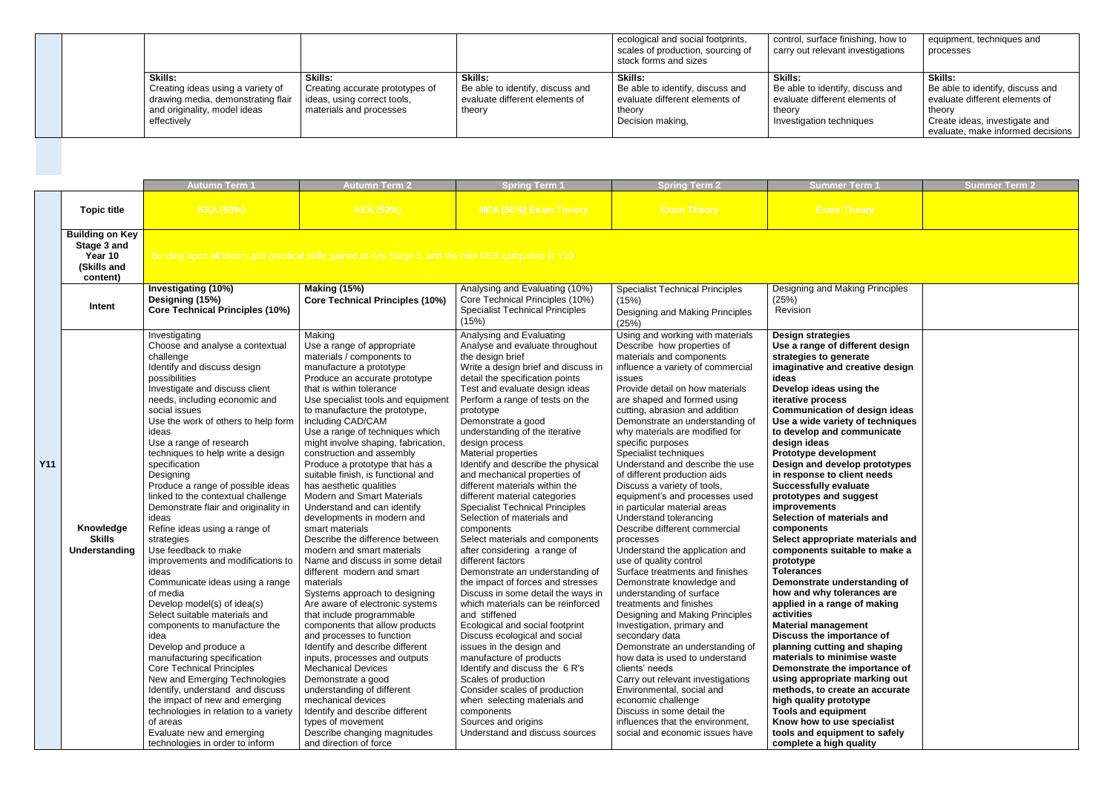|                                             |                                                                                 |                                                    | ecological and social footprints,<br>scales of production, sourcing of<br>stock forms and sizes | control, surface finishing, how to<br>carry out relevant investigations | equipment, techniques and<br>processes                                       |
|---------------------------------------------|---------------------------------------------------------------------------------|----------------------------------------------------|-------------------------------------------------------------------------------------------------|-------------------------------------------------------------------------|------------------------------------------------------------------------------|
| <b>Skills:</b>                              | Skills:<br>Creating ideas using a variety of<br>Creating accurate prototypes of | <b>Skills:</b><br>Be able to identify, discuss and | <b>Skills:</b><br>Be able to identify, discuss and                                              | Skills:<br>Be able to identify, discuss and                             | Skills:<br>Be able to identify, discuss and                                  |
|                                             | drawing media, demonstrating flair<br>ideas, using correct tools,               | evaluate different elements of                     | evaluate different elements of                                                                  | evaluate different elements of                                          | evaluate different elements of                                               |
| and originality, model ideas<br>effectively | materials and processes                                                         | theory                                             | theory<br>Decision making,                                                                      | theory<br>Investigation techniques                                      | theory<br>Create ideas, investigate and<br>evaluate, make informed decisions |
|                                             |                                                                                 |                                                    |                                                                                                 |                                                                         |                                                                              |
|                                             |                                                                                 |                                                    |                                                                                                 |                                                                         |                                                                              |

|                                                                             |                                             | Autumn Term 1                                                                                                                                                                                                                                                                                                                                                                                                                                                                                                                                                                                                                                                                                                                                                                                                                                                                                                                                                                                                                                                                    | <b>Autumn Term 2</b>                                                                                                                                                                                                                                                                                                                                                                                                                                                                                                                                                                                                                                                                                                                                                                                                                                                                                                                                                                                                                                                                                                                                                                             | <b>Spring Term 1</b>                                                                                                                                                                                                                                                                                                                                                                                                                                                                                                                                                                                                                                                                                                                                                                                                                                                                                                                                                                                                                                                                                                                                                        | <b>Spring Term 2</b>                                                                                                                                                                                                                                                                                                                                                                                                                                                                                                                                                                                                                                                                                                                                                                                                                                                                                                                                                                                                                                                                                                                                                   | <b>Summer Term 1</b>                                                                                                                                                                                                                                                                                                                                                                                                                                                                                                                                                                                                                                                                                                                                                                                                                                                                                                                                                                                                                                                                                                          | <b>Summer Term 2</b> |  |  |  |
|-----------------------------------------------------------------------------|---------------------------------------------|----------------------------------------------------------------------------------------------------------------------------------------------------------------------------------------------------------------------------------------------------------------------------------------------------------------------------------------------------------------------------------------------------------------------------------------------------------------------------------------------------------------------------------------------------------------------------------------------------------------------------------------------------------------------------------------------------------------------------------------------------------------------------------------------------------------------------------------------------------------------------------------------------------------------------------------------------------------------------------------------------------------------------------------------------------------------------------|--------------------------------------------------------------------------------------------------------------------------------------------------------------------------------------------------------------------------------------------------------------------------------------------------------------------------------------------------------------------------------------------------------------------------------------------------------------------------------------------------------------------------------------------------------------------------------------------------------------------------------------------------------------------------------------------------------------------------------------------------------------------------------------------------------------------------------------------------------------------------------------------------------------------------------------------------------------------------------------------------------------------------------------------------------------------------------------------------------------------------------------------------------------------------------------------------|-----------------------------------------------------------------------------------------------------------------------------------------------------------------------------------------------------------------------------------------------------------------------------------------------------------------------------------------------------------------------------------------------------------------------------------------------------------------------------------------------------------------------------------------------------------------------------------------------------------------------------------------------------------------------------------------------------------------------------------------------------------------------------------------------------------------------------------------------------------------------------------------------------------------------------------------------------------------------------------------------------------------------------------------------------------------------------------------------------------------------------------------------------------------------------|------------------------------------------------------------------------------------------------------------------------------------------------------------------------------------------------------------------------------------------------------------------------------------------------------------------------------------------------------------------------------------------------------------------------------------------------------------------------------------------------------------------------------------------------------------------------------------------------------------------------------------------------------------------------------------------------------------------------------------------------------------------------------------------------------------------------------------------------------------------------------------------------------------------------------------------------------------------------------------------------------------------------------------------------------------------------------------------------------------------------------------------------------------------------|-------------------------------------------------------------------------------------------------------------------------------------------------------------------------------------------------------------------------------------------------------------------------------------------------------------------------------------------------------------------------------------------------------------------------------------------------------------------------------------------------------------------------------------------------------------------------------------------------------------------------------------------------------------------------------------------------------------------------------------------------------------------------------------------------------------------------------------------------------------------------------------------------------------------------------------------------------------------------------------------------------------------------------------------------------------------------------------------------------------------------------|----------------------|--|--|--|
|                                                                             | <b>Topic title</b>                          | <b>NEA (50%)</b>                                                                                                                                                                                                                                                                                                                                                                                                                                                                                                                                                                                                                                                                                                                                                                                                                                                                                                                                                                                                                                                                 | <b>NEA (50%)</b>                                                                                                                                                                                                                                                                                                                                                                                                                                                                                                                                                                                                                                                                                                                                                                                                                                                                                                                                                                                                                                                                                                                                                                                 | NEA (50%) Exam Theory                                                                                                                                                                                                                                                                                                                                                                                                                                                                                                                                                                                                                                                                                                                                                                                                                                                                                                                                                                                                                                                                                                                                                       | <b>Exam Theory</b>                                                                                                                                                                                                                                                                                                                                                                                                                                                                                                                                                                                                                                                                                                                                                                                                                                                                                                                                                                                                                                                                                                                                                     | <b>Exam Theory</b>                                                                                                                                                                                                                                                                                                                                                                                                                                                                                                                                                                                                                                                                                                                                                                                                                                                                                                                                                                                                                                                                                                            |                      |  |  |  |
| <b>Building on Key</b><br>Stage 3 and<br>Year 10<br>(Skills and<br>content) |                                             | Building upon all theory and practical skills gained at Key Stage 3, and the mini NEA completed in Y10                                                                                                                                                                                                                                                                                                                                                                                                                                                                                                                                                                                                                                                                                                                                                                                                                                                                                                                                                                           |                                                                                                                                                                                                                                                                                                                                                                                                                                                                                                                                                                                                                                                                                                                                                                                                                                                                                                                                                                                                                                                                                                                                                                                                  |                                                                                                                                                                                                                                                                                                                                                                                                                                                                                                                                                                                                                                                                                                                                                                                                                                                                                                                                                                                                                                                                                                                                                                             |                                                                                                                                                                                                                                                                                                                                                                                                                                                                                                                                                                                                                                                                                                                                                                                                                                                                                                                                                                                                                                                                                                                                                                        |                                                                                                                                                                                                                                                                                                                                                                                                                                                                                                                                                                                                                                                                                                                                                                                                                                                                                                                                                                                                                                                                                                                               |                      |  |  |  |
|                                                                             | Intent                                      | Investigating (10%)<br>Designing (15%)<br><b>Core Technical Principles (10%)</b>                                                                                                                                                                                                                                                                                                                                                                                                                                                                                                                                                                                                                                                                                                                                                                                                                                                                                                                                                                                                 | <b>Making (15%)</b><br><b>Core Technical Principles (10%)</b>                                                                                                                                                                                                                                                                                                                                                                                                                                                                                                                                                                                                                                                                                                                                                                                                                                                                                                                                                                                                                                                                                                                                    | Analysing and Evaluating (10%)<br>Core Technical Principles (10%)<br><b>Specialist Technical Principles</b><br>(15%)                                                                                                                                                                                                                                                                                                                                                                                                                                                                                                                                                                                                                                                                                                                                                                                                                                                                                                                                                                                                                                                        | <b>Specialist Technical Principles</b><br>(15%)<br>Designing and Making Principles<br>(25%)                                                                                                                                                                                                                                                                                                                                                                                                                                                                                                                                                                                                                                                                                                                                                                                                                                                                                                                                                                                                                                                                            | Designing and Making Principles<br>(25%)<br>Revision                                                                                                                                                                                                                                                                                                                                                                                                                                                                                                                                                                                                                                                                                                                                                                                                                                                                                                                                                                                                                                                                          |                      |  |  |  |
| <b>Y11</b>                                                                  | Knowledge<br><b>Skills</b><br>Understanding | Investigating<br>Choose and analyse a contextual<br>challenge<br>Identify and discuss design<br>possibilities<br>Investigate and discuss client<br>needs, including economic and<br>social issues<br>Use the work of others to help form<br>ideas<br>Use a range of research<br>techniques to help write a design<br>specification<br>Designing<br>Produce a range of possible ideas<br>linked to the contextual challenge<br>Demonstrate flair and originality in<br>ideas<br>Refine ideas using a range of<br>strategies<br>Use feedback to make<br>improvements and modifications to<br>ideas<br>Communicate ideas using a range<br>of media<br>Develop model(s) of idea(s)<br>Select suitable materials and<br>components to manufacture the<br>idea<br>Develop and produce a<br>manufacturing specification<br><b>Core Technical Principles</b><br>New and Emerging Technologies<br>Identify, understand and discuss<br>the impact of new and emerging<br>technologies in relation to a variety<br>of areas<br>Evaluate new and emerging<br>technologies in order to inform | Making<br>Use a range of appropriate<br>materials / components to<br>manufacture a prototype<br>Produce an accurate prototype<br>that is within tolerance<br>Use specialist tools and equipment<br>to manufacture the prototype,<br>including CAD/CAM<br>Use a range of techniques which<br>might involve shaping, fabrication,<br>construction and assembly<br>Produce a prototype that has a<br>suitable finish, is functional and<br>has aesthetic qualities<br><b>Modern and Smart Materials</b><br>Understand and can identify<br>developments in modern and<br>smart materials<br>Describe the difference between<br>modern and smart materials<br>Name and discuss in some detail<br>different modern and smart<br>materials<br>Systems approach to designing<br>Are aware of electronic systems<br>that include programmable<br>components that allow products<br>and processes to function<br>Identify and describe different<br>inputs, processes and outputs<br><b>Mechanical Devices</b><br>Demonstrate a good<br>understanding of different<br>mechanical devices<br>Identify and describe different<br>types of movement<br>Describe changing magnitudes<br>and direction of force | Analysing and Evaluating<br>Analyse and evaluate throughout<br>the design brief<br>Write a design brief and discuss in<br>detail the specification points<br>Test and evaluate design ideas<br>Perform a range of tests on the<br>prototype<br>Demonstrate a good<br>understanding of the iterative<br>design process<br><b>Material properties</b><br>Identify and describe the physical<br>and mechanical properties of<br>different materials within the<br>different material categories<br><b>Specialist Technical Principles</b><br>Selection of materials and<br>components<br>Select materials and components<br>after considering a range of<br>different factors<br>Demonstrate an understanding of<br>the impact of forces and stresses<br>Discuss in some detail the ways in<br>which materials can be reinforced<br>and stiffened<br>Ecological and social footprint<br>Discuss ecological and social<br>issues in the design and<br>manufacture of products<br>Identify and discuss the 6 R's<br>Scales of production<br>Consider scales of production<br>when selecting materials and<br>components<br>Sources and origins<br>Understand and discuss sources | Using and working with materials<br>Describe how properties of<br>materials and components<br>influence a variety of commercial<br>issues<br>Provide detail on how materials<br>are shaped and formed using<br>cutting, abrasion and addition<br>Demonstrate an understanding of<br>why materials are modified for<br>specific purposes<br>Specialist techniques<br>Understand and describe the use<br>of different production aids<br>Discuss a variety of tools,<br>equipment's and processes used<br>in particular material areas<br>Understand tolerancing<br>Describe different commercial<br>processes<br>Understand the application and<br>use of quality control<br>Surface treatments and finishes<br>Demonstrate knowledge and<br>understanding of surface<br>treatments and finishes<br>Designing and Making Principles<br>Investigation, primary and<br>secondary data<br>Demonstrate an understanding of<br>how data is used to understand<br>clients' needs<br>Carry out relevant investigations<br>Environmental, social and<br>economic challenge<br>Discuss in some detail the<br>influences that the environment,<br>social and economic issues have | <b>Design strategies</b><br>Use a range of different design<br>strategies to generate<br>imaginative and creative design<br>ideas<br>Develop ideas using the<br>iterative process<br><b>Communication of design ideas</b><br>Use a wide variety of techniques<br>to develop and communicate<br>design ideas<br>Prototype development<br>Design and develop prototypes<br>in response to client needs<br><b>Successfully evaluate</b><br>prototypes and suggest<br>improvements<br>Selection of materials and<br>components<br>Select appropriate materials and<br>components suitable to make a<br>prototype<br><b>Tolerances</b><br>Demonstrate understanding of<br>how and why tolerances are<br>applied in a range of making<br>activities<br><b>Material management</b><br>Discuss the importance of<br>planning cutting and shaping<br>materials to minimise waste<br>Demonstrate the importance of<br>using appropriate marking out<br>methods, to create an accurate<br>high quality prototype<br><b>Tools and equipment</b><br>Know how to use specialist<br>tools and equipment to safely<br>complete a high quality |                      |  |  |  |